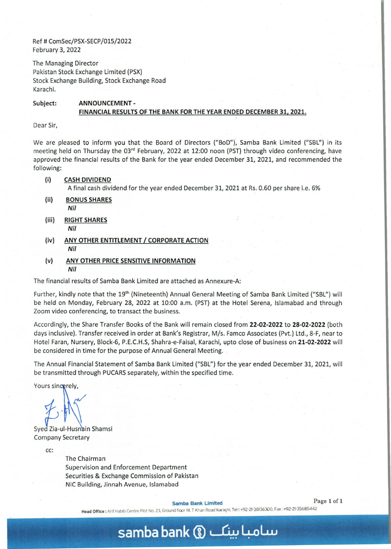Ref # ComSec/PSX-SECP/015/2022 February 3, 2022

The Managing Director Pakistan Stock Exchange Limited (PSX) Stock Exchange Building, Stock Exchange Road Karachi.

## Subject: ANNOUNCEMENT - FINANCIAL RESULTS OF THE BANK FOR THE YEAR ENDED DECEMBER 31, 2021.

Dear Sir,

We are pleased to inform you that the Board of Directors *(IBoD"),* Samba Bank Limited *("SBL")* in its meeting held on Thursday the 03<sup>rd</sup> February, 2022 at 12:00 noon (PST) through video conferencing, have approved the financial results of the Bank for the year ended December 31, 2021, and recommended the following:

(i) CASH DIVIDEND

A final cash dividend for the year ended December 31, 2021 at Rs. 0.60 per share i.e. 6%

- (ii) BONUS SHARES *Nil*
- (iii) RIGHT SHARES *Nil*
- (iv) ANY OTHER ENTiTlEMENT *I* CORPORATE ACTION *Nil*
- (v) ANY OTHER PRICE SENSITIVE INFORMATION *Nil*

The financial results of Samba Bank Limited are attached as Annexure-A:

Further, kindly note that the 19<sup>th</sup> (Nineteenth) Annual General Meeting of Samba Bank Limited ("SBL") will be held on Monday, February 28, 2022 at 10:00 a.m. (PST) at the Hotel Serena, Islamabad. and through Zoom video conferencing, to transact the business.

Accordingly, the Share Transfer Books of the Bank will remain closed from 22-02-2022 to 28-02-2022 (both days inclusive). Transfer received in order at Bank's Registrar, M/s. Famco Associates (Pvt.) Ltd., 8-F, near to Hotel Faran, Nursery, Block-6, P.E.C.H.S, Shahra-e-Faisal, Karachi, upto close of business on 21-02-2022 will be considered in time for the purpose of Annual General Meeting.

The Annual Financial Statement of Samba Bank Limited ("SBL") for the year ended December 31, 2021, will be transmitted through PUCARS separately, within the specified time.

Yours sincerely.

Syed Zia-ul-Husnain Shamsi Company Secretary

cc:

The Chairman Supervision and Enforcement Department Securities & Exchange Commission of Pakistan NIC Building, Jinnah Avenue, Islamabad

Samba Bank Limited Page 1 of 1

Head Office: Arif Habib Centre Plot No. 23, Ground floor M. T Khan Road Karaçhi. Tel: +92-21-38136300, Fax: +92-21-35685442

## **samba bank** ® ~ 4-oL..u